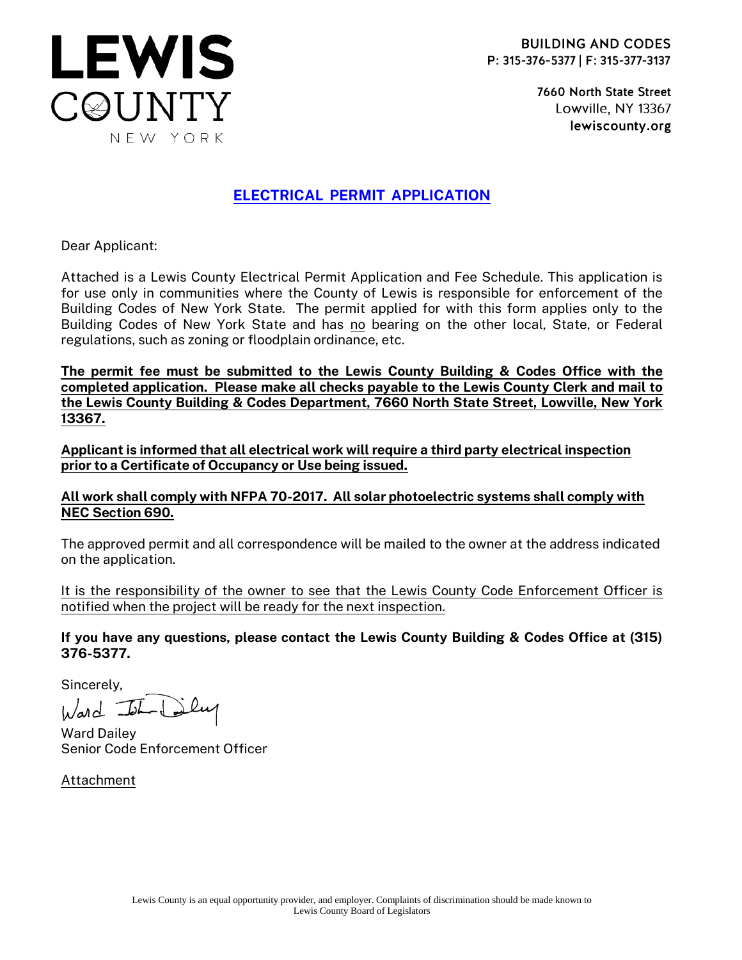7660 North State Street Lowville, NY 13367 lewiscounty.org

## ELECTRICAL PERMIT APPLICATION

Dear Applicant:

**LEWIS** 

C@UNTY

NEW YORK

Attached is a Lewis County Electrical Permit Application and Fee Schedule. This application is for use only in communities where the County of Lewis is responsible for enforcement of the Building Codes of New York State. The permit applied for with this form applies only to the Building Codes of New York State and has no bearing on the other local, State, or Federal regulations, such as zoning or floodplain ordinance, etc.

The permit fee must be submitted to the Lewis County Building & Codes Office with the completed application. Please make all checks payable to the Lewis County Clerk and mail to the Lewis County Building & Codes Department, 7660 North State Street, Lowville, New York 13367.

Applicant is informed that all electrical work will require a third party electrical inspection prior to a Certificate of Occupancy or Use being issued.

### All work shall comply with NFPA 70-2017. All solar photoelectric systems shall comply with NEC Section 690.

The approved permit and all correspondence will be mailed to the owner at the address indicated on the application.

It is the responsibility of the owner to see that the Lewis County Code Enforcement Officer is notified when the project will be ready for the next inspection.

If you have any questions, please contact the Lewis County Building & Codes Office at (315) 376-5377.

Sincerely,

Ward John

Ward Dailey Senior Code Enforcement Officer

Attachment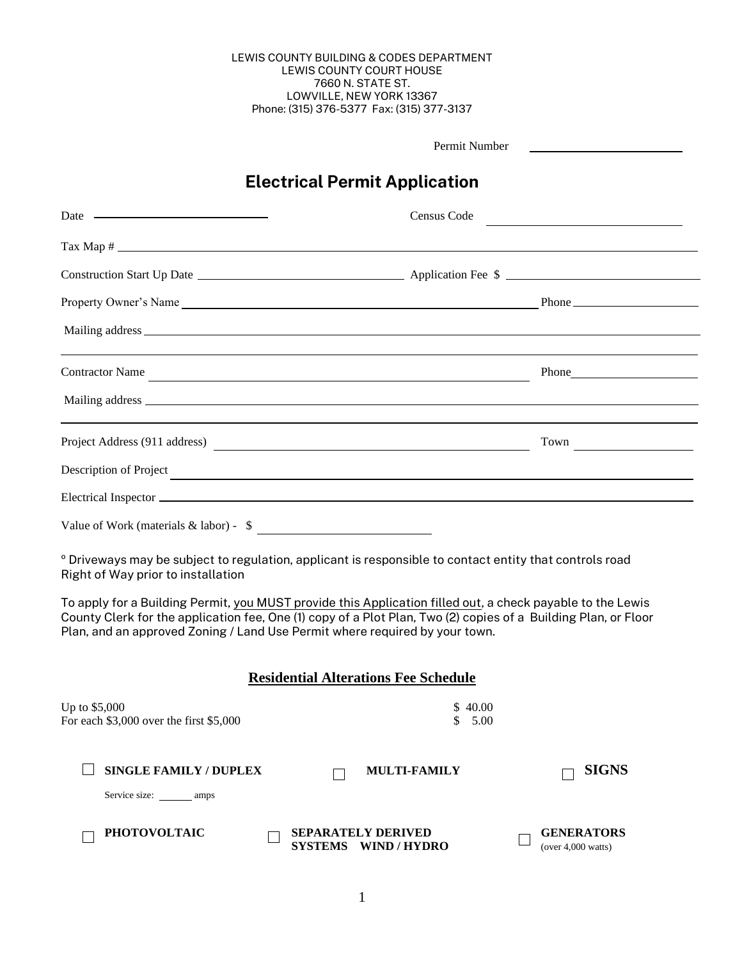#### LEWIS COUNTY BUILDING & CODES DEPARTMENT LEWIS COUNTY COURT HOUSE 7660 N. STATE ST. LOWVILLE, NEW YORK 13367 Phone: (315) 376-5377 Fax: (315) 377-3137

|                                                                             | Permit Number                                                                                                                                                                                                                  |
|-----------------------------------------------------------------------------|--------------------------------------------------------------------------------------------------------------------------------------------------------------------------------------------------------------------------------|
|                                                                             | <b>Electrical Permit Application</b>                                                                                                                                                                                           |
| Date $\qquad$                                                               | Census Code                                                                                                                                                                                                                    |
|                                                                             |                                                                                                                                                                                                                                |
|                                                                             |                                                                                                                                                                                                                                |
|                                                                             |                                                                                                                                                                                                                                |
|                                                                             |                                                                                                                                                                                                                                |
|                                                                             | Contractor Name                                                                                                                                                                                                                |
|                                                                             |                                                                                                                                                                                                                                |
|                                                                             |                                                                                                                                                                                                                                |
|                                                                             | Description of Project Project Project Contract Contract Contract Contract Contract Contract Contract Contract Contract Contract Contract Contract Contract Contract Contract Contract Contract Contract Contract Contract Con |
|                                                                             | Electrical Inspector entrance and the contract of the contract of the contract of the contract of the contract of the contract of the contract of the contract of the contract of the contract of the contract of the contract |
| Value of Work (materials $\&$ labor) - $\$$                                 |                                                                                                                                                                                                                                |
| Right of Way prior to installation                                          | ° Driveways may be subject to regulation, applicant is responsible to contact entity that controls road                                                                                                                        |
| Plan, and an approved Zoning / Land Use Permit where required by your town. | To apply for a Building Permit, you MUST provide this Application filled out, a check payable to the Lewis<br>County Clerk for the application fee, One (1) copy of a Plot Plan, Two (2) copies of a Building Plan, or Floor   |
|                                                                             | <b>Residential Alterations Fee Schedule</b>                                                                                                                                                                                    |
| Up to \$5,000<br>For each \$3,000 over the first \$5,000                    | \$40.00<br>5.00<br>S                                                                                                                                                                                                           |
| <b>SINGLE FAMILY / DUPLEX</b><br>Service size: ________ amps                | <b>SIGNS</b><br><b>MULTI-FAMILY</b>                                                                                                                                                                                            |
| <b>PHOTOVOLTAIC</b>                                                         | <b>SEPARATELY DERIVED</b><br><b>GENERATORS</b><br><b>SYSTEMS</b><br><b>WIND / HYDRO</b><br>(over $4,000$ watts)                                                                                                                |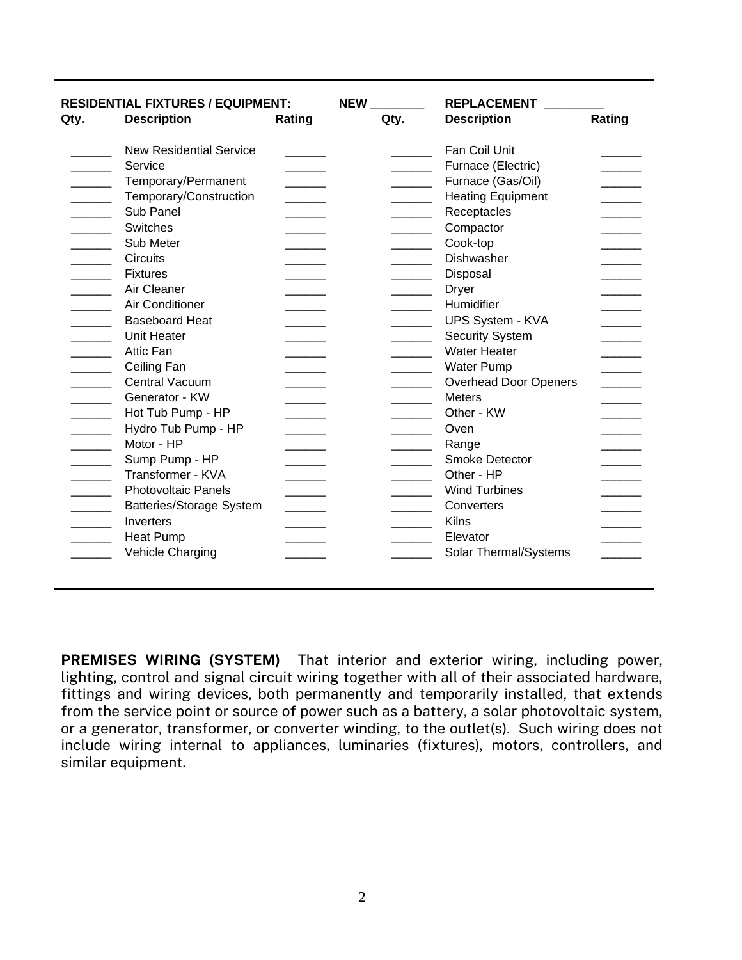| Qty.                     | <b>RESIDENTIAL FIXTURES / EQUIPMENT:</b><br><b>Description</b> | Rating | <b>NEW</b><br>Qty.       | <b>REPLACEMENT</b><br><b>Description</b> | Rating                      |
|--------------------------|----------------------------------------------------------------|--------|--------------------------|------------------------------------------|-----------------------------|
|                          | <b>New Residential Service</b>                                 |        |                          | Fan Coil Unit                            |                             |
|                          | Service                                                        |        |                          | Furnace (Electric)                       |                             |
|                          | Temporary/Permanent                                            |        |                          | Furnace (Gas/Oil)                        | $\sim$ $\sim$ $\sim$ $\sim$ |
|                          |                                                                |        |                          |                                          |                             |
| <b>Contract Contract</b> | Temporary/Construction                                         |        | <u>and the state</u>     | <b>Heating Equipment</b>                 |                             |
| and the control          | Sub Panel                                                      |        | and the company          | Receptacles                              |                             |
| <b>Contract Contract</b> | Switches                                                       |        | $\overline{\phantom{a}}$ | Compactor                                |                             |
|                          | Sub Meter                                                      |        |                          | Cook-top                                 |                             |
| <b>Contract Contract</b> | <b>Circuits</b>                                                |        |                          | <b>Dishwasher</b>                        |                             |
|                          | <b>Fixtures</b>                                                |        | and the company          | Disposal                                 |                             |
|                          | Air Cleaner                                                    |        |                          | <b>Dryer</b>                             |                             |
|                          | Air Conditioner                                                |        |                          | Humidifier                               |                             |
|                          | <b>Baseboard Heat</b>                                          |        |                          | <b>UPS System - KVA</b>                  |                             |
|                          | Unit Heater                                                    |        |                          | <b>Security System</b>                   |                             |
|                          | <b>Attic Fan</b>                                               |        | and the control of       | <b>Water Heater</b>                      |                             |
|                          | Ceiling Fan                                                    |        |                          | <b>Water Pump</b>                        |                             |
|                          | Central Vacuum                                                 |        |                          | <b>Overhead Door Openers</b>             |                             |
|                          | Generator - KW                                                 |        |                          | <b>Meters</b>                            |                             |
| <b>Contract Contract</b> | Hot Tub Pump - HP                                              |        |                          | Other - KW                               |                             |
|                          | Hydro Tub Pump - HP                                            |        |                          | Oven                                     |                             |
|                          | Motor - HP                                                     |        |                          | Range                                    |                             |
|                          | Sump Pump - HP                                                 |        |                          | <b>Smoke Detector</b>                    |                             |
|                          | Transformer - KVA                                              |        | and the state of         | Other - HP                               |                             |
|                          | <b>Photovoltaic Panels</b>                                     |        |                          | <b>Wind Turbines</b>                     |                             |
|                          | <b>Batteries/Storage System</b>                                |        |                          | Converters                               |                             |
|                          | Inverters                                                      |        |                          | Kilns                                    |                             |
|                          |                                                                |        |                          |                                          |                             |
|                          | <b>Heat Pump</b>                                               |        |                          | Elevator                                 |                             |
|                          | Vehicle Charging                                               |        |                          | Solar Thermal/Systems                    |                             |

PREMISES WIRING (SYSTEM) That interior and exterior wiring, including power, lighting, control and signal circuit wiring together with all of their associated hardware, fittings and wiring devices, both permanently and temporarily installed, that extends from the service point or source of power such as a battery, a solar photovoltaic system, or a generator, transformer, or converter winding, to the outlet(s). Such wiring does not include wiring internal to appliances, luminaries (fixtures), motors, controllers, and similar equipment.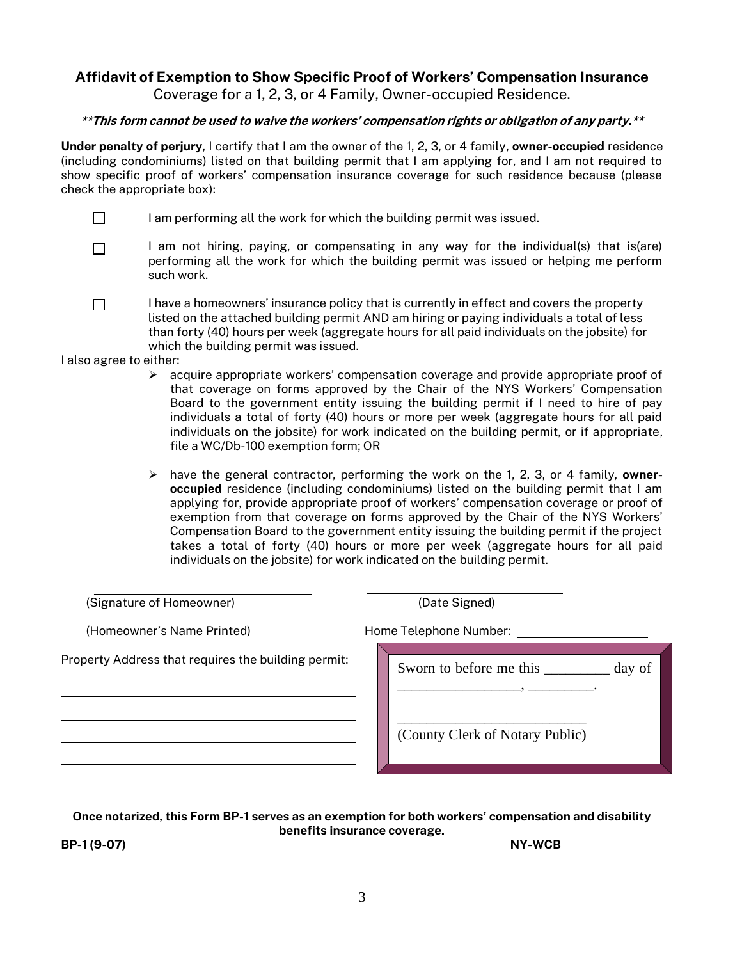# Affidavit of Exemption to Show Specific Proof of Workers' Compensation Insurance

Coverage for a 1, 2, 3, or 4 Family, Owner-occupied Residence.

#### \*\*This form cannot be used to waive the workers' compensation rights or obligation of any party.\*\*

Under penalty of perjury, I certify that I am the owner of the 1, 2, 3, or 4 family, owner-occupied residence (including condominiums) listed on that building permit that I am applying for, and I am not required to show specific proof of workers' compensation insurance coverage for such residence because (please check the appropriate box):

- $\Box$ I am performing all the work for which the building permit was issued.
- I am not hiring, paying, or compensating in any way for the individual(s) that is(are)  $\Box$ performing all the work for which the building permit was issued or helping me perform such work.
- $\Box$ I have a homeowners' insurance policy that is currently in effect and covers the property listed on the attached building permit AND am hiring or paying individuals a total of less than forty (40) hours per week (aggregate hours for all paid individuals on the jobsite) for which the building permit was issued.

I also agree to either:

- $\triangleright$  acquire appropriate workers' compensation coverage and provide appropriate proof of that coverage on forms approved by the Chair of the NYS Workers' Compensation Board to the government entity issuing the building permit if I need to hire of pay individuals a total of forty (40) hours or more per week (aggregate hours for all paid individuals on the jobsite) for work indicated on the building permit, or if appropriate, file a WC/Db-100 exemption form; OR
- $\triangleright$  have the general contractor, performing the work on the 1, 2, 3, or 4 family, owneroccupied residence (including condominiums) listed on the building permit that I am applying for, provide appropriate proof of workers' compensation coverage or proof of exemption from that coverage on forms approved by the Chair of the NYS Workers' Compensation Board to the government entity issuing the building permit if the project takes a total of forty (40) hours or more per week (aggregate hours for all paid individuals on the jobsite) for work indicated on the building permit.

| (Signature of Homeowner)                            | (Date Signed)                     |  |  |
|-----------------------------------------------------|-----------------------------------|--|--|
| (Homeowner's Name Printed)                          | Home Telephone Number:            |  |  |
| Property Address that requires the building permit: | Sworn to before me this<br>day of |  |  |
|                                                     | (County Clerk of Notary Public)   |  |  |

Once notarized, this Form BP-1 serves as an exemption for both workers' compensation and disability benefits insurance coverage.

 $BP-1 (9-07)$  NY-WCB